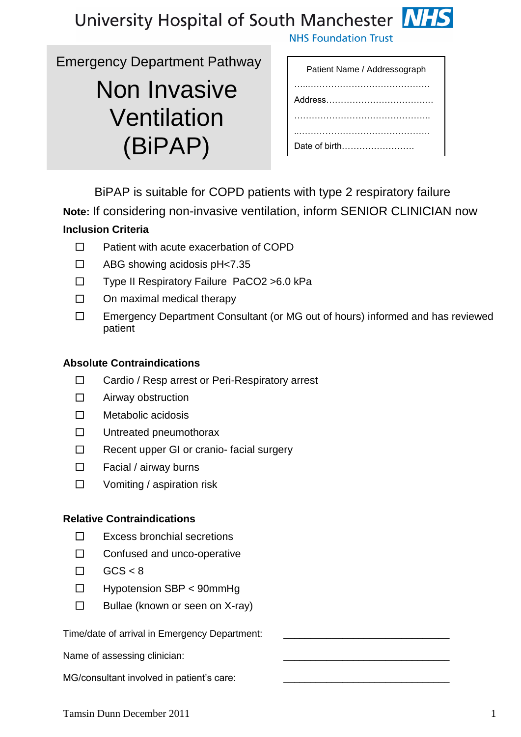



Emergency Department Pathway

# Non Invasive Ventilation (BiPAP)

| Patient Name / Addressograph |
|------------------------------|
|                              |
|                              |
|                              |
|                              |
|                              |
|                              |
| Date of birth                |

**NHS Foundation Trust** 

BiPAP is suitable for COPD patients with type 2 respiratory failure

**Note:** If considering non-invasive ventilation, inform SENIOR CLINICIAN now **Inclusion Criteria**

- ☐ Patient with acute exacerbation of COPD
- ☐ ABG showing acidosis pH<7.35
- ☐ Type II Respiratory Failure PaCO2 >6.0 kPa
- $\Box$  On maximal medical therapy
- ☐ Emergency Department Consultant (or MG out of hours) informed and has reviewed patient

### **Absolute Contraindications**

- ☐ Cardio / Resp arrest or Peri-Respiratory arrest
- ☐ Airway obstruction
- ☐ Metabolic acidosis
- ☐ Untreated pneumothorax
- ☐ Recent upper GI or cranio- facial surgery
- ☐ Facial / airway burns
- ☐ Vomiting / aspiration risk

### **Relative Contraindications**

- ☐ Excess bronchial secretions
- ☐ Confused and unco-operative
- $\Box$  GCS < 8
- ☐ Hypotension SBP < 90mmHg
- $\Box$  Bullae (known or seen on X-ray)

Time/date of arrival in Emergency Department:

Name of assessing clinician:

MG/consultant involved in patient's care:

Tamsin Dunn December 2011 1 and 1 and 1 and 1 and 1 and 1 and 1 and 1 and 1 and 1 and 1 and 1 and 1 and 1 and 1 and 1 and 1 and 1 and 1 and 1 and 1 and 1 and 1 and 1 and 1 and 1 and 1 and 1 and 1 and 1 and 1 and 1 and 1 an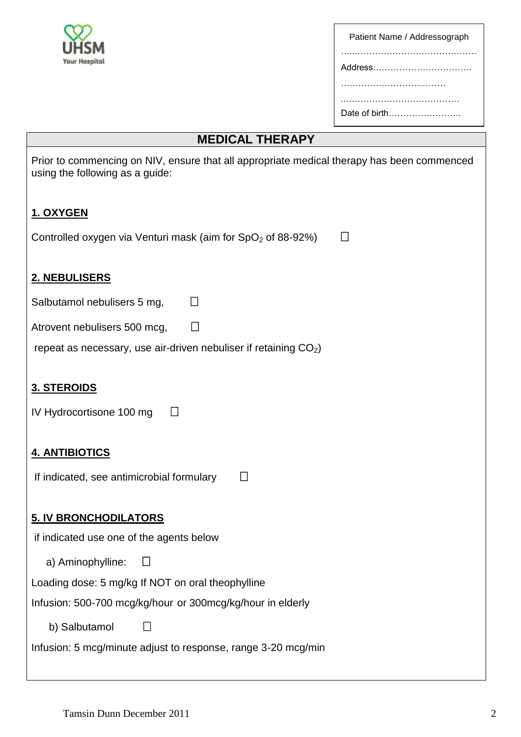

| Patient Name / Addressograph |
|------------------------------|
|                              |
| Address                      |
|                              |
|                              |
| Date of birth                |

# **MEDICAL THERAPY**

| Prior to commencing on NIV, ensure that all appropriate medical therapy has been commenced<br>using the following as a guide: |
|-------------------------------------------------------------------------------------------------------------------------------|
| 1. OXYGEN                                                                                                                     |
| $\Box$<br>Controlled oxygen via Venturi mask (aim for $SpO2$ of 88-92%)                                                       |
| 2. NEBULISERS                                                                                                                 |
| Salbutamol nebulisers 5 mg,<br>$\Box$                                                                                         |
| □<br>Atrovent nebulisers 500 mcg,                                                                                             |
| repeat as necessary, use air-driven nebuliser if retaining $CO2$ )                                                            |
| <b>3. STEROIDS</b><br>IV Hydrocortisone 100 mg<br>$\Box$                                                                      |
| <b>4. ANTIBIOTICS</b>                                                                                                         |
| If indicated, see antimicrobial formulary<br>$\mathbb{R}^n$                                                                   |
| <b>5. IV BRONCHODILATORS</b>                                                                                                  |
| if indicated use one of the agents below                                                                                      |
| a) Aminophylline:                                                                                                             |
| Loading dose: 5 mg/kg If NOT on oral theophylline                                                                             |
| Infusion: 500-700 mcg/kg/hour or 300mcg/kg/hour in elderly                                                                    |
| b) Salbutamol                                                                                                                 |
| Infusion: 5 mcg/minute adjust to response, range 3-20 mcg/min                                                                 |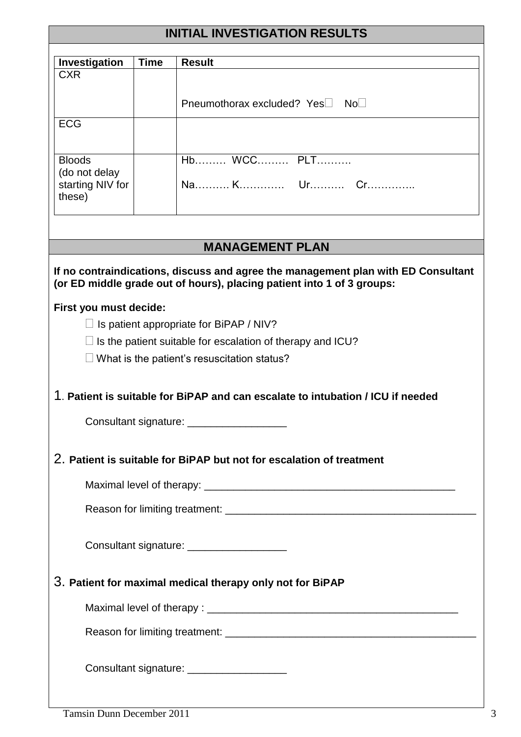| <b>INITIAL INVESTIGATION RESULTS</b>                                                                                                                                                                |                                              |                                                                                                                                |  |  |
|-----------------------------------------------------------------------------------------------------------------------------------------------------------------------------------------------------|----------------------------------------------|--------------------------------------------------------------------------------------------------------------------------------|--|--|
| Investigation                                                                                                                                                                                       | <b>Time</b>                                  | <b>Result</b>                                                                                                                  |  |  |
| <b>CXR</b>                                                                                                                                                                                          |                                              |                                                                                                                                |  |  |
|                                                                                                                                                                                                     |                                              | Pneumothorax excluded? Yes□ No□                                                                                                |  |  |
| <b>ECG</b>                                                                                                                                                                                          |                                              |                                                                                                                                |  |  |
| <b>Bloods</b>                                                                                                                                                                                       |                                              | Hb WCC PLT                                                                                                                     |  |  |
| (do not delay<br>starting NIV for<br>these)                                                                                                                                                         |                                              |                                                                                                                                |  |  |
|                                                                                                                                                                                                     |                                              | <b>MANAGEMENT PLAN</b>                                                                                                         |  |  |
| If no contraindications, discuss and agree the management plan with ED Consultant<br>(or ED middle grade out of hours), placing patient into 1 of 3 groups:                                         |                                              |                                                                                                                                |  |  |
| First you must decide:<br>$\Box$ Is patient appropriate for BiPAP / NIV?<br>$\Box$ is the patient suitable for escalation of therapy and ICU?<br>$\Box$ What is the patient's resuscitation status? |                                              |                                                                                                                                |  |  |
|                                                                                                                                                                                                     |                                              | 1. Patient is suitable for BiPAP and can escalate to intubation / ICU if needed<br>Consultant signature: _____________________ |  |  |
| 2. Patient is suitable for BiPAP but not for escalation of treatment                                                                                                                                |                                              |                                                                                                                                |  |  |
|                                                                                                                                                                                                     |                                              |                                                                                                                                |  |  |
|                                                                                                                                                                                                     |                                              |                                                                                                                                |  |  |
|                                                                                                                                                                                                     | Consultant signature: ______________________ |                                                                                                                                |  |  |
| 3. Patient for maximal medical therapy only not for BiPAP                                                                                                                                           |                                              |                                                                                                                                |  |  |
|                                                                                                                                                                                                     |                                              |                                                                                                                                |  |  |
|                                                                                                                                                                                                     |                                              |                                                                                                                                |  |  |
|                                                                                                                                                                                                     |                                              | Consultant signature: _____________________                                                                                    |  |  |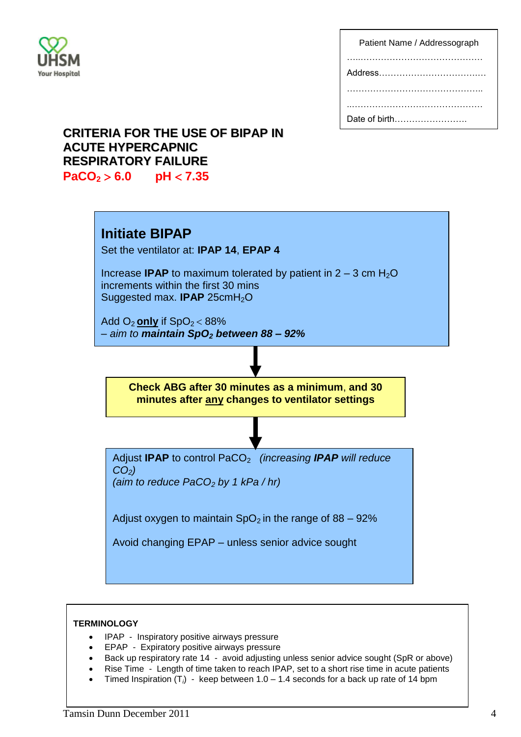

| Patient Name / Addressograph |
|------------------------------|
|                              |
|                              |
|                              |
|                              |
| Date of birth                |

## **CRITERIA FOR THE USE OF BIPAP IN ACUTE HYPERCAPNIC RESPIRATORY FAILURE**

**PaCO<sup>2</sup> 6.0 pH 7.35**



#### **TERMINOLOGY**

- IPAP Inspiratory positive airways pressure
- **•** EPAP Expiratory positive airways pressure
- Back up respiratory rate 14 avoid adjusting unless senior advice sought (SpR or above)
- Rise Time Length of time taken to reach IPAP, set to a short rise time in acute patients
- Timed Inspiration  $(T_i)$  keep between  $1.0 1.4$  seconds for a back up rate of 14 bpm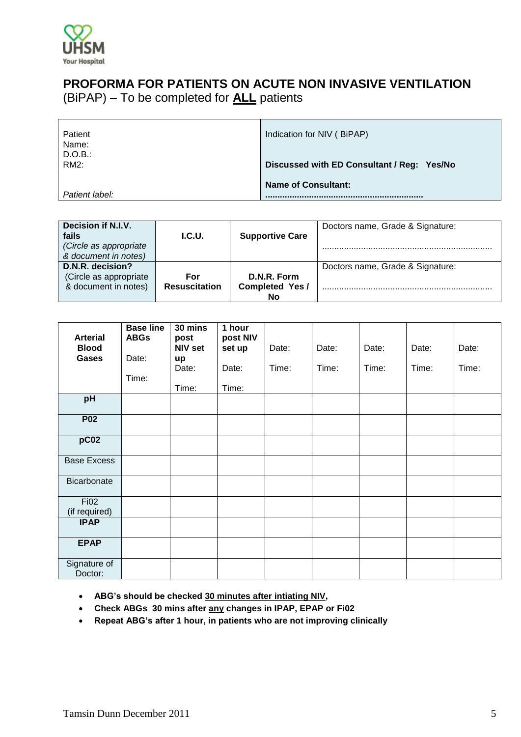

### **PROFORMA FOR PATIENTS ON ACUTE NON INVASIVE VENTILATION** (BiPAP) – To be completed for **ALL** patients

| Patient<br>Name: | Indication for NIV (BiPAP)                 |  |  |  |
|------------------|--------------------------------------------|--|--|--|
| D.O.B<br>RM2:    | Discussed with ED Consultant / Reg: Yes/No |  |  |  |
| Patient label:   | <b>Name of Consultant:</b>                 |  |  |  |

| Decision if N.I.V.<br>fails<br>(Circle as appropriate<br>& document in notes) | <b>I.C.U.</b>               | <b>Supportive Care</b>                     | Doctors name, Grade & Signature: |
|-------------------------------------------------------------------------------|-----------------------------|--------------------------------------------|----------------------------------|
| D.N.R. decision?<br>(Circle as appropriate<br>& document in notes)            | For<br><b>Resuscitation</b> | D.N.R. Form<br><b>Completed Yes/</b><br>No | Doctors name, Grade & Signature: |

| <b>Arterial</b><br><b>Blood</b> | <b>Base line</b><br><b>ABGs</b> | 30 mins<br>post<br><b>NIV set</b> | 1 hour<br>post NIV | Date: | Date: | Date: | Date: | Date: |
|---------------------------------|---------------------------------|-----------------------------------|--------------------|-------|-------|-------|-------|-------|
|                                 |                                 |                                   | set up             |       |       |       |       |       |
| <b>Gases</b>                    | Date:                           | up                                |                    |       |       |       |       |       |
|                                 |                                 | Date:                             | Date:              | Time: | Time: | Time: | Time: | Time: |
|                                 | Time:                           |                                   |                    |       |       |       |       |       |
|                                 |                                 | Time:                             | Time:              |       |       |       |       |       |
| pH                              |                                 |                                   |                    |       |       |       |       |       |
| <b>P02</b>                      |                                 |                                   |                    |       |       |       |       |       |
| pC <sub>02</sub>                |                                 |                                   |                    |       |       |       |       |       |
| <b>Base Excess</b>              |                                 |                                   |                    |       |       |       |       |       |
| Bicarbonate                     |                                 |                                   |                    |       |       |       |       |       |
| <b>Fi02</b>                     |                                 |                                   |                    |       |       |       |       |       |
| (if required)                   |                                 |                                   |                    |       |       |       |       |       |
| <b>IPAP</b>                     |                                 |                                   |                    |       |       |       |       |       |
| <b>EPAP</b>                     |                                 |                                   |                    |       |       |       |       |       |
| Signature of<br>Doctor:         |                                 |                                   |                    |       |       |       |       |       |

- **ABG's should be checked 30 minutes after intiating NIV,**
- **Check ABGs 30 mins after any changes in IPAP, EPAP or Fi02**
- **Repeat ABG's after 1 hour, in patients who are not improving clinically**